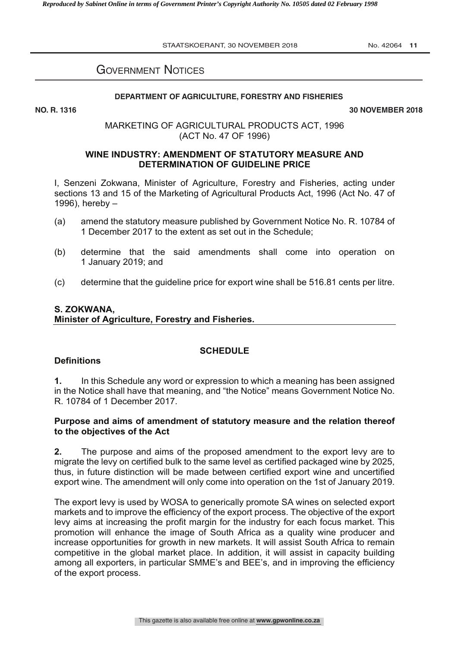STAATSKOERANT, 30 NOVEMBER 2018 No. 42064 11

# GOVERNMENT NOTICES

#### **DEPARTMENT OF AGRICULTURE, FORESTRY AND FISHERIES**

**NO. R. 1316 30 NOVEMBER 2018**

## MARKETING OF AGRICULTURAL PRODUCTS ACT, 1996 (ACT No. 47 OF 1996)

### **WINE INDUSTRY: AMENDMENT OF STATUTORY MEASURE AND DETERMINATION OF GUIDELINE PRICE**

I, Senzeni Zokwana, Minister of Agriculture, Forestry and Fisheries, acting under sections 13 and 15 of the Marketing of Agricultural Products Act, 1996 (Act No. 47 of 1996), hereby –

- (a) amend the statutory measure published by Government Notice No. R. 10784 of 1 December 2017 to the extent as set out in the Schedule;
- (b) determine that the said amendments shall come into operation on 1 January 2019; and
- (c) determine that the guideline price for export wine shall be 516.81 cents per litre.

# **S. ZOKWANA, Minister of Agriculture, Forestry and Fisheries.**

### **SCHEDULE**

### **Definitions**

**1.** In this Schedule any word or expression to which a meaning has been assigned in the Notice shall have that meaning, and "the Notice" means Government Notice No. R. 10784 of 1 December 2017.

### **Purpose and aims of amendment of statutory measure and the relation thereof to the objectives of the Act**

**2.** The purpose and aims of the proposed amendment to the export levy are to migrate the levy on certified bulk to the same level as certified packaged wine by 2025, thus, in future distinction will be made between certified export wine and uncertified export wine. The amendment will only come into operation on the 1st of January 2019.

The export levy is used by WOSA to generically promote SA wines on selected export markets and to improve the efficiency of the export process. The objective of the export levy aims at increasing the profit margin for the industry for each focus market. This promotion will enhance the image of South Africa as a quality wine producer and increase opportunities for growth in new markets. It will assist South Africa to remain competitive in the global market place. In addition, it will assist in capacity building among all exporters, in particular SMME's and BEE's, and in improving the efficiency of the export process.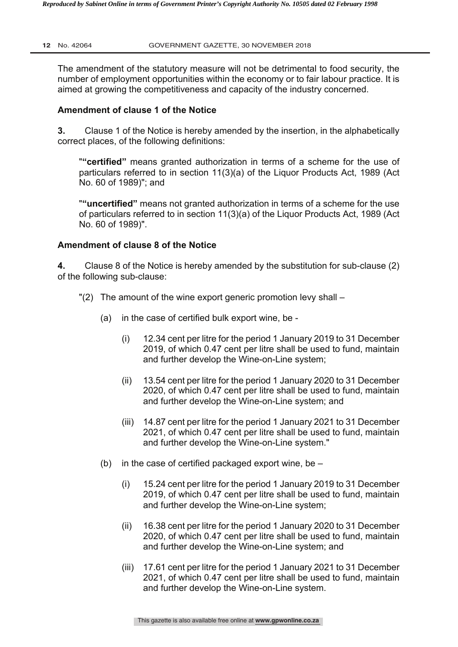The amendment of the statutory measure will not be detrimental to food security, the number of employment opportunities within the economy or to fair labour practice. It is aimed at growing the competitiveness and capacity of the industry concerned.

#### **Amendment of clause 1 of the Notice**

**3.** Clause 1 of the Notice is hereby amended by the insertion, in the alphabetically correct places, of the following definitions:

"**"certified"** means granted authorization in terms of a scheme for the use of particulars referred to in section 11(3)(a) of the Liquor Products Act, 1989 (Act No. 60 of 1989)"; and

"**"uncertified"** means not granted authorization in terms of a scheme for the use of particulars referred to in section 11(3)(a) of the Liquor Products Act, 1989 (Act No. 60 of 1989)".

#### **Amendment of clause 8 of the Notice**

**4.** Clause 8 of the Notice is hereby amended by the substitution for sub-clause (2) of the following sub-clause:

- "(2) The amount of the wine export generic promotion levy shall
	- (a) in the case of certified bulk export wine, be
		- (i) 12.34 cent per litre for the period 1 January 2019 to 31 December 2019, of which 0.47 cent per litre shall be used to fund, maintain and further develop the Wine-on-Line system;
		- (ii) 13.54 cent per litre for the period 1 January 2020 to 31 December 2020, of which 0.47 cent per litre shall be used to fund, maintain and further develop the Wine-on-Line system; and
		- (iii) 14.87 cent per litre for the period 1 January 2021 to 31 December 2021, of which 0.47 cent per litre shall be used to fund, maintain and further develop the Wine-on-Line system."
	- (b) in the case of certified packaged export wine, be  $-$ 
		- (i) 15.24 cent per litre for the period 1 January 2019 to 31 December 2019, of which 0.47 cent per litre shall be used to fund, maintain and further develop the Wine-on-Line system;
		- (ii) 16.38 cent per litre for the period 1 January 2020 to 31 December 2020, of which 0.47 cent per litre shall be used to fund, maintain and further develop the Wine-on-Line system; and
		- (iii) 17.61 cent per litre for the period 1 January 2021 to 31 December 2021, of which 0.47 cent per litre shall be used to fund, maintain and further develop the Wine-on-Line system.